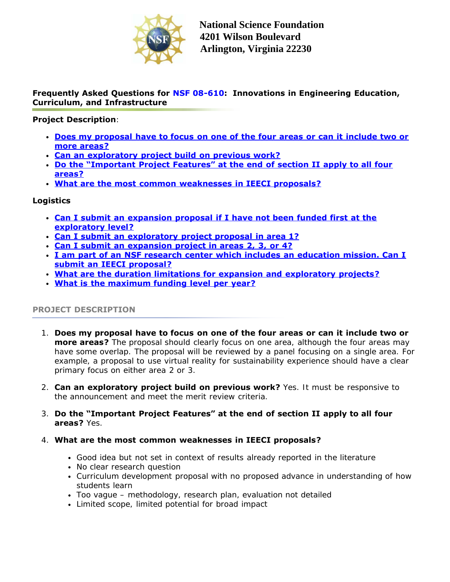

## **Frequently Asked Questions for [NSF 08-610:](http://www.nsf.gov/publications/pub_summ.jsp?ods_key=nsf08610) Innovations in Engineering Education, Curriculum, and Infrastructure**

## **Project Description**:

- **Does my proposal have to focus on one of the four areas or can it include two or more areas?**
- **Can an exploratory project build on previous work?**
- **Do the "Important Project Features" at the end of section II apply to all four areas?**
- **What are the most common weaknesses in IEECI proposals?**

## **Logistics**

- **[Can I submit an expansion proposal if I have not been funded first at the](#page-1-0) [exploratory level?](#page-1-0)**
- **[Can I submit an exploratory project proposal in area 1?](#page-1-0)**
- **[Can I submit an expansion project in areas 2, 3, or 4?](#page-1-0)**
- **[I am part of an NSF research center which includes an education mission. Can I](#page-1-0) [submit an IEECI proposal?](#page-1-0)**
- **[What are the duration limitations for expansion and exploratory projects?](#page-1-1)**
- **[What is the maximum funding level per year?](#page-1-0)**

## **PROJECT DESCRIPTION**

- 1. **Does my proposal have to focus on one of the four areas or can it include two or more areas?** The proposal should clearly focus on one area, although the four areas may have some overlap. The proposal will be reviewed by a panel focusing on a single area. For example, a proposal to use virtual reality for sustainability experience should have a clear primary focus on either area 2 or 3.
- 2. **Can an exploratory project build on previous work?** Yes. It must be responsive to the announcement and meet the merit review criteria.
- 3. **Do the "Important Project Features" at the end of section II apply to all four areas?** Yes.
- 4. **What are the most common weaknesses in IEECI proposals?**
	- Good idea but not set in context of results already reported in the literature
	- No clear research question
	- Curriculum development proposal with no proposed advance in understanding of how students learn
	- Too vague methodology, research plan, evaluation not detailed
	- Limited scope, limited potential for broad impact